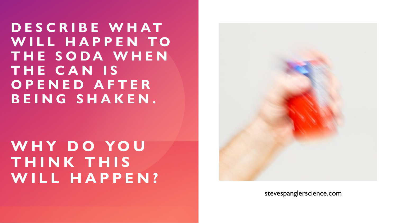**D E S C R I B E W H AT**  WILL HAPPEN TO **T H E S O D A W H E N T H E C A N I S O P E N E D A F T E R B E I N G S H A K E N .**

## WHY DO YOU **T H I N K T H I S W I L L H A P P E N ?**



stevespanglerscience.com